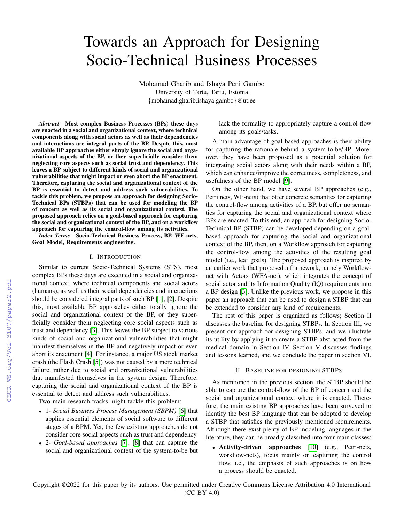# Towards an Approach for Designing Socio-Technical Business Processes

Mohamad Gharib and Ishaya Peni Gambo University of Tartu, Tartu, Estonia {mohamad.gharib,ishaya.gambo}@ut.ee

*Abstract*—Most complex Business Processes (BPs) these days are enacted in a social and organizational context, where technical components along with social actors as well as their dependencies and interactions are integral parts of the BP. Despite this, most available BP approaches either simply ignore the social and organizational aspects of the BP, or they superficially consider them neglecting core aspects such as social trust and dependency. This leaves a BP subject to different kinds of social and organizational vulnerabilities that might impact or even abort the BP enactment. Therefore, capturing the social and organizational context of the BP is essential to detect and address such vulnerabilities. To tackle this problem, we propose an approach for designing Socio-Technical BPs (STBPs) that can be used for modeling the BP of concern as well as its social and organizational context. The proposed approach relies on a goal-based approach for capturing the social and organizational context of the BP, and on a workflow approach for capturing the control-flow among its activities.

*Index Terms*—Socio-Technical Business Process, BP, WF-nets, Goal Model, Requirements engineering.

## I. INTRODUCTION

Similar to current Socio-Technical Systems (STS), most complex BPs these days are executed in a social and organizational context, where technical components and social actors (humans), as well as their social dependencies and interactions should be considered integral parts of such BP [\[1\]](#page--1-0), [\[2\]](#page--1-1). Despite this, most available BP approaches either totally ignore the social and organizational context of the BP, or they superficially consider them neglecting core social aspects such as trust and dependency [\[3\]](#page--1-2). This leaves the BP subject to various kinds of social and organizational vulnerabilities that might manifest themselves in the BP and negatively impact or even abort its enactment [\[4\]](#page--1-3). For instance, a major US stock market crash (the Flash Crash [\[5\]](#page--1-4)) was not caused by a mere technical failure, rather due to social and organizational vulnerabilities that manifested themselves in the system design. Therefore, capturing the social and organizational context of the BP is essential to detect and address such vulnerabilities.

Two main research tracks might tackle this problem:

- 1- *Social Business Process Management (SBPM)* [\[6\]](#page--1-5) that applies essential elements of social software to different stages of a BPM. Yet, the few existing approaches do not consider core social aspects such as trust and dependency.
- 2- *Goal-based approaches* [\[7\]](#page--1-6), [\[8\]](#page--1-7) that can capture the social and organizational context of the system-to-be but

lack the formality to appropriately capture a control-flow among its goals/tasks.

A main advantage of goal-based approaches is their ability for capturing the rationale behind a system-to-be/BP. Moreover, they have been proposed as a potential solution for integrating social actors along with their needs within a BP, which can enhance/improve the correctness, completeness, and usefulness of the BP model [\[9\]](#page--1-8).

On the other hand, we have several BP approaches (e.g., Petri nets, WF-nets) that offer concrete semantics for capturing the control-flow among activities of a BP, but offer no semantics for capturing the social and organizational context where BPs are enacted. To this end, an approach for designing Socio-Technical BP (STBP) can be developed depending on a goalbased approach for capturing the social and organizational context of the BP, then, on a Workflow approach for capturing the control-flow among the activities of the resulting goal model (i.e., leaf goals). The proposed approach is inspired by an earlier work that proposed a framework, namely Workflownet with Actors (WFA-net), which integrates the concept of social actor and its Information Quality (IQ) requirements into a BP design [\[3\]](#page--1-2). Unlike the previous work, we propose in this paper an approach that can be used to design a STBP that can be extended to consider any kind of requirements.

The rest of this paper is organized as follows; Section II discusses the baseline for designing STBPs. In Section III, we present our approach for designing STBPs, and we illustrate its utility by applying it to create a STBP abstracted from the medical domain in Section IV. Section V discusses findings and lessons learned, and we conclude the paper in section VI.

## II. BASELINE FOR DESIGNING STBPS

As mentioned in the previous section, the STBP should be able to capture the control-flow of the BP of concern and the social and organizational context where it is enacted. Therefore, the main existing BP approaches have been surveyed to identify the best BP language that can be adopted to develop a STBP that satisfies the previously mentioned requirements. Although there exist plenty of BP modeling languages in the literature, they can be broadly classified into four main classes:

• Activity-driven approaches [\[10\]](#page--1-9) (e.g., Petri-nets, workflow-nets), focus mainly on capturing the control flow, i.e., the emphasis of such approaches is on how a process should be enacted.

Copyright ©2022 for this paper by its authors. Use permitted under Creative Commons License Attribution 4.0 International (CC BY 4.0)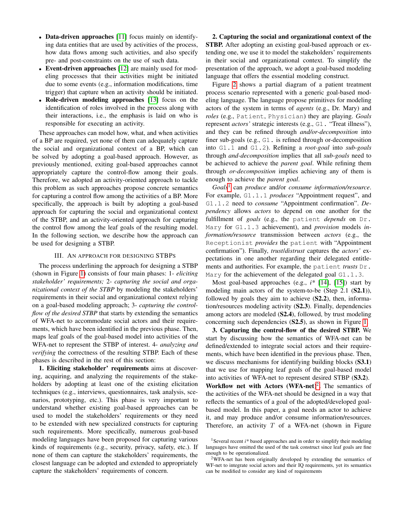- Data-driven approaches [\[11\]](#page-5-0) focus mainly on identifying data entities that are used by activities of the process, how data flows among such activities, and also specify pre- and post-constraints on the use of such data.
- Event-driven approaches [\[12\]](#page-5-1) are mainly used for modeling processes that their activities might be initiated due to some events (e.g., information modifications, time trigger) that capture when an activity should be initiated.
- Role-driven modeling approaches [\[13\]](#page-5-2) focus on the identification of roles involved in the process along with their interactions, i.e., the emphasis is laid on who is responsible for executing an activity.

These approaches can model how, what, and when activities of a BP are required, yet none of them can adequately capture the social and organizational context of a BP, which can be solved by adopting a goal-based approach. However, as previously mentioned, exiting goal-based approaches cannot appropriately capture the control-flow among their goals. Therefore, we adopted an activity-oriented approach to tackle this problem as such approaches propose concrete semantics for capturing a control flow among the activities of a BP. More specifically, the approach is built by adopting a goal-based approach for capturing the social and organizational context of the STBP, and an activity-oriented approach for capturing the control flow among the leaf goals of the resulting model. In the following section, we describe how the approach can be used for designing a STBP.

#### III. AN APPROACH FOR DESIGNING STBPS

The process underlining the approach for designing a STBP (shown in Figure [1\)](#page-2-0) consists of four main phases: 1- *eliciting stakeholder' requirements;* 2- *capturing the social and organizational context of the STBP* by modeling the stakeholders' requirements in their social and organizational context relying on a goal-based modeling approach; 3- *capturing the controlflow of the desired STBP* that starts by extending the semantics of WFA-net to accommodate social actors and their requirements, which have been identified in the previous phase. Then, maps leaf goals of the goal-based model into activities of the WFA-net to represent the STBP of interest. 4- *analyzing and verifying* the correctness of the resulting STBP. Each of these phases is described in the rest of this section:

1. Eliciting stakeholder' requirements aims at discovering, acquiring, and analyzing the requirements of the stakeholders by adopting at least one of the existing elicitation techniques (e.g., interviews, questionnaires, task analysis, scenarios, prototyping, etc.). This phase is very important to understand whether existing goal-based approaches can be used to model the stakeholders' requirements or they need to be extended with new specialized constructs for capturing such requirements. More specifically, numerous goal-based modeling languages have been proposed for capturing various kinds of requirements (e.g., security, privacy, safety, etc.). If none of them can capture the stakeholders' requirements, the closest language can be adopted and extended to appropriately capture the stakeholders' requirements of concern.

2. Capturing the social and organizational context of the STBP. After adopting an existing goal-based approach or extending one, we use it to model the stakeholders' requirements in their social and organizational context. To simplify the presentation of the approach, we adopt a goal-based modeling language that offers the essential modeling construct.

Figure [2](#page-2-1) shows a partial diagram of a patient treatment process scenario represented with a generic goal-based modeling language. The language propose primitives for modeling actors of the system in terms of *agents* (e.g., Dr. Mary) and *roles* (e.g., Patient, Physician) they are playing. *Goals* represent *actors'* strategic interests (e.g., G1. "Treat illness"), and they can be refined through *and/or-decomposition* into finer sub-goals (e.g., G1. is refined through or-decomposition into G1.1 and G1.2). Refining a *root-goal* into *sub-goals* through *and-decomposition* implies that all *sub-goals* need to be achieved to achieve the *parent goal*. While refining them through *or-decomposition* implies achieving any of them is enough to achieve the *parent goal*.

*Goals*[1](#page-1-0) can *produce* and/or *consume information/resource*. For example, G1.1.1 *produces* "Appointment request", and G1.1.2 need to *consume* "Appointment confirmation". *Dependency* allows *actors* to depend on one another for the fulfillment of *goals* (e.g., the patient *depends* on Dr. Mary for G1.1.3 achievement), and *provision* models *information/resource* transmission between *actors* (e.g., the Receptionist *provides* the patient with "Appointment confirmation"). Finally, *trust*/*distrust* captures the *actors'* expectations in one another regarding their delegated entitlements and authorities. For example, the patient *trusts* Dr. Mary for the achievement of the delegated goal G1.1.3.

Most goal-based approaches (e.g., *i\** [\[14\]](#page-5-3), [\[15\]](#page-5-4)) start by modeling main actors of the system-to-be (Step 2.1 (S2.1)), followed by goals they aim to achieve (S2.2), then, information/resources modeling activity (S2.3). Finally, dependencies among actors are modeled (S2.4), followed, by trust modeling concerning such dependencies (S2.5), as shown in Figure [1.](#page-2-0)

3. Capturing the control-flow of the desired STBP. We start by discussing how the semantics of WFA-net can be defined/extended to integrate social actors and their requirements, which have been identified in the previous phase. Then, we discuss mechanisms for identifying building blocks (S3.1) that we use for mapping leaf goals of the goal-based model into activities of WFA-net to represent desired STBP (S3.2). Workflow net with Actors  $(WFA-net)^2$  $(WFA-net)^2$ . The semantics of the activities of the WFA-net should be designed in a way that reflects the semantics of a goal of the adopted/developed goalbased model. In this paper, a goal needs an actor to achieve it, and may produce and/or consume information/resources. Therefore, an activity  $T$  of a WFA-net (shown in Figure

<span id="page-1-0"></span><sup>&</sup>lt;sup>1</sup>Several recent *i*<sup>\*</sup> based approaches and in order to simplify their modeling languages have omitted the used of the task construct since leaf goals are fine enough to be operationalized.

<span id="page-1-1"></span><sup>&</sup>lt;sup>2</sup>WFA-net has been originally developed by extending the semantics of WF-net to integrate social actors and their IQ requirements, yet its semantics can be modified to consider any kind of requirements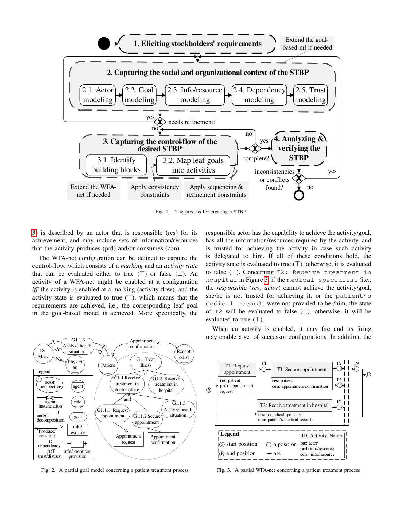

<span id="page-2-0"></span>Fig. 1. The process for creating a STBP

[3\)](#page-2-2) is described by an actor that is responsible (res) for its achievement, and may include sets of information/resources that the activity produces (prd) and/or consumes (con).

The WFA-net configuration can be defined to capture the control-flow, which consists of a *marking* and an *activity state* that can be evaluated either to true  $(T)$  or false  $(\perp)$ . An activity of a WFA-net might be enabled at a configuration *iff* the activity is enabled at a marking (activity flow), and the activity state is evaluated to true  $(T)$ , which means that the requirements are achieved, i.e., the corresponding leaf goal in the goal-based model is achieved. More specifically, the responsible actor has the capability to achieve the activity/goal, has all the information/resources required by the activity, and is trusted for achieving the activity in case such activity is delegated to him. If all of these conditions hold, the activity state is evaluated to true  $(T)$ , otherwise, it is evaluated to false (⊥). Concerning T2: Receive treatment in hospital in Figure [3,](#page-2-2) if the medical specialist (i.e., the *responsible (res) actor*) cannot achieve the activity/goal, she/he is not trusted for achieving it, or the patient's medical records were not provided to her/him, the state of T2 will be evaluated to false  $(\perp)$ , otherwise, it will be evaluated to true  $(\top)$ .





<span id="page-2-1"></span>Fig. 2. A partial goal model concerning a patient treatment process



<span id="page-2-2"></span>Fig. 3. A partial WFA-net concerning a patient treatment process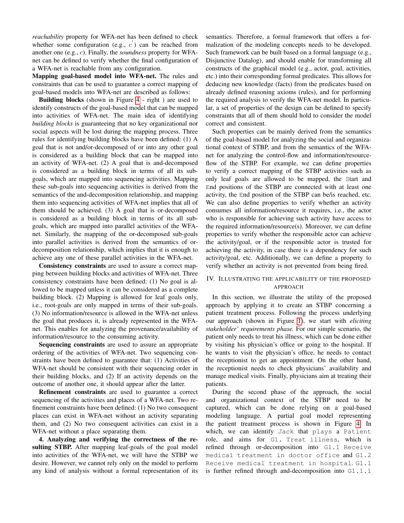*reachability* property for WFA-net has been defined to check whether some configuration (e.g.,  $c'$ ) can be reached from another one (e.g., c). Finally, the *soundness* property for WFAnet can be defined to verify whether the final configuration of a WFA-net is reachable from any configuration.

Mapping goal-based model into WFA-net. The rules and constraints that can be used to guarantee a correct mapping of goal-based models into WFA-net are described as follows:

Building blocks (shown in Figure [4](#page-4-0) - right ) are used to identify constructs of the goal-based model that can be mapped into activities of WFA-net. The main idea of identifying *building blocks* is guaranteeing that no key organizational nor social aspects will be lost during the mapping process. Three rules for identifying building blocks have been defined: (1) A goal that is not and/or-decomposed of or into any other goal is considered as a building block that can be mapped into an activity of WFA-net. (2) A goal that is and-decomposed is considered as a building block in terms of all its subgoals, which are mapped into sequencing activities. Mapping these sub-goals into sequencing activities is derived from the semantics of the and-decomposition relationship, and mapping them into sequencing activities of WFA-net implies that all of them should be achieved. (3) A goal that is or-decomposed is considered as a building block in terms of its all subgoals, which are mapped into parallel activities of the WFAnet. Similarly, the mapping of the or-decomposed sub-goals into parallel activities is derived from the semantics of ordecomposition relationship, which implies that it is enough to achieve any one of these parallel activities in the WFA-net.

Consistency constraints are used to assure a correct mapping between building blocks and activities of WFA-net. Three consistency constraints have been defined: (1) No goal is allowed to be mapped unless it can be considered as a complete building block. (2) Mapping is allowed for leaf goals only, i.e., root-goals are only mapped in terms of their sub-goals. (3) No information/resource is allowed in the WFA-net unless the goal that produces it, is already represented in the WFAnet. This enables for analyzing the provenance/availability of information/resource to the consuming activity.

Sequencing constraints are used to assure an appropriate ordering of the activities of WFA-net. Two sequencing constraints have been defined to guarantee that: (1) Activities of WFA-net should be consistent with their sequencing order in their building blocks, and (2) If an activity depends on the outcome of another one, it should appear after the latter.

Refinement constraints are used to guarantee a correct sequencing of the activities and places of a WFA-net. Two refinement constraints have been defined: (1) No two consequent places can exist in WFA-net without an activity separating them, and (2) No two consequent activities can exist in a WFA-net without a place separating them.

4. Analyzing and verifying the correctness of the resulting STBP. After mapping leaf-goals of the goal model into activities of the WFA-net, we will have the STBP we desire. However, we cannot rely only on the model to perform any kind of analysis without a formal representation of its semantics. Therefore, a formal framework that offers a formalization of the modeling concepts needs to be developed. Such framework can be built based on a formal language (e.g., Disjunctive Datalog), and should enable for transforming all constructs of the graphical model (e.g., actor, goal, activities, etc.) into their corresponding formal predicates. This allows for deducing new knowledge (facts) from the predicates based on already defined reasoning axioms (rules), and for performing the required analysis to verify the WFA-net model. In particular, a set of properties of the design can be defined to specify constraints that all of them should hold to consider the model correct and consistent.

Such properties can be mainly derived from the semantics of the goal-based model for analyzing the social and organizational context of STBP, and from the semantics of the WFAnet for analyzing the control-flow and information/resourceflow of the STBP. For example, we can define properties to verify a correct mapping of the STBP activities such as only leaf goals are allowed to be mapped, the Start and End positions of the STBP are connected with at least one activity, the End position of the STBP can be/is reached, etc. We can also define properties to verify whether an activity consumes all information/resource it requires, i.e., the actor who is responsible for achieving such activity have access to the required information/resource(s). Moreover, we can define properties to verify whether the responsible actor can achieve the activity/goal, or if the responsible actor is trusted for achieving the activity, in case there is a dependency for such activity/goal, etc. Additionally, we can define a property to verify whether an activity is not prevented from being fired.

## IV. ILLUSTRATING THE APPLICABILITY OF THE PROPOSED APPROACH

In this section, we illustrate the utility of the proposed approach by applying it to create an STBP concerning a patient treatment process. Following the process underlying our approach (shown in Figure [1\)](#page-2-0), we start with *eliciting stakeholder' requirements phase.* For our simple scenario, the patient only needs to treat his illness, which can be done either by visiting his physician's office or going to the hospital. If he wants to visit the physician's office, he needs to contact the receptionist to get an appointment. On the other hand, the receptionist needs to check physicians' availability and manage medical visits. Finally, physicians aim at treating their patients.

During the second phase of the approach, the social and organizational context of the STBP need to be captured, which can be done relying on a goal-based modeling language. A partial goal model representing the patient treatment process is shown in Figure [4.](#page-4-0) In which, we can identify Jack that plays a Patient role, and aims for G1. Treat illness, which is refined through or-decomposition into G1.1 Receive medical treatment in doctor office and G1.2 Receive medical treatment in hospital. G1.1 is further refined through and-decomposition into G1.1.1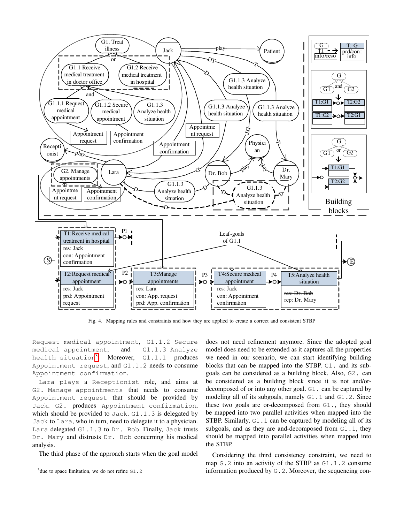

<span id="page-4-0"></span>Fig. 4. Mapping rules and constraints and how they are applied to create a correct and consistent STBP

Request medical appointment, G1.1.2 Secure medical appointment, and G1.1.3 Analyze health situation<sup>[3](#page-4-1)</sup>. Moreover, G1.1.1 produces Appointment request, and G1.1.2 needs to consume Appointment confirmation.

Lara plays a Receptionist role, and aims at G2. Manage appointments that needs to consume Appointment request that should be provided by Jack. G2. produces Appointment confirmation, which should be provided to Jack. G1.1.3 is delegated by Jack to Lara, who in turn, need to delegate it to a physician. Lara delegated G1.1.3 to Dr. Bob. Finally, Jack trusts Dr. Mary and distrusts Dr. Bob concerning his medical analysis.

The third phase of the approach starts when the goal model

does not need refinement anymore. Since the adopted goal model does need to be extended as it captures all the properties we need in our scenario, we can start identifying building blocks that can be mapped into the STBP. G1. and its subgoals can be considered as a building block. Also, G2. can be considered as a building block since it is not and/ordecomposed of or into any other goal. G1. can be captured by modeling all of its subgoals, namely G1.1 and G1.2. Since these two goals are or-decomposed from G1., they should be mapped into two parallel activities when mapped into the STBP. Similarly, G1.1 can be captured by modeling all of its subgoals, and as they are and-decomposed from G1.1, they should be mapped into parallel activities when mapped into the STBP.

Considering the third consistency constraint, we need to map G.2 into an activity of the STBP as G1.1.2 consume information produced by G.2. Moreover, the sequencing con-

<span id="page-4-1"></span> $3$  due to space limitation, we do not refine  $G1.2$